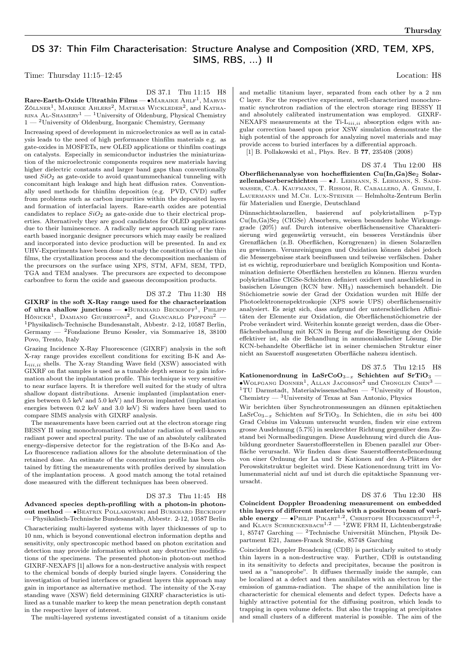## DS 37: Thin Film Characterisation: Structure Analyse and Composition (XRD, TEM, XPS, SIMS, RBS, ...) II

Time: Thursday 11:15–12:45 Location: H8

DS 37.1 Thu 11:15 H8

 $\rm{Rare\text{-}Earth\text{-}Oxide~Ultrathin~Films\text{---} \bullet \!M\rm{aRAIKE~}\!A\rm{H}\rm{L}\rm{F}^1},\rm{M\rm{ARVIN}}$  $Z$ öllner<sup>1</sup>, Mareike Ahlers<sup>2</sup>, Mathias Wickleder<sup>2</sup>, and Katharina Al-Shamery<sup>1</sup> — <sup>1</sup>University of Oldenburg, Physical Chemistry  $1 - {}^{2}$ University of Oldenburg, Inorganic Chemistry, Germany

Increasing speed of development in microelectronics as well as in catalysis leads to the need of high performance thinfilm materials e.g. as gate-oxides in MOSFETs, new OLED applications or thinfilm coatings on catalysts. Especially in semiconductor industries the miniaturization of the microelectronic components requires new materials having higher dielectric constants and larger band gaps than conventionally used  $SiO<sub>2</sub>$  as gate-oxide to avoid quantummechanical tunneling with concomitant high leakage and high heat diffusion rates. Conventionally used methods for thinfilm deposition (e.g. PVD, CVD) suffer from problems such as carbon impurities within the deposited layers and formation of interfacial layers. Rare-earth oxides are potential candidates to replace  $SiO<sub>2</sub>$  as gate-oxide due to their electrical properties. Alternatively they are good candidates for OLED applications due to their luminescence. A radically new approach using new rareearth based inorganic designer precursors which may easily be realized and incorporated into device production will be presented. In and ex UHV-Experiments have been done to study the constitution of the thin films, the crystallization process and the decomposition mechanism of the precursors on the surface using XPS, STM, AFM, SEM, TPD, TGA and TEM analyses. The precursors are expected to decompose carbonfree to form the oxide and gaseous decomposition products.

## DS 37.2 Thu 11:30 H8

GIXRF in the soft X-Ray range used for the characterization of ultra shallow junctions — •Виккнакр Вескногг<sup>1</sup>, Рншгр Hönicke<sup>1</sup>, Damiano Giubertoni<sup>2</sup>, and Giancarlo Pepponi<sup>2</sup> – <sup>1</sup>Physikalisch-Technische Bundesanstalt, Abbestr. 2-12, 10587 Berlin, Germany — <sup>2</sup>Fondazione Bruno Kessler, via Sommarive 18, 38100 Povo, Trento, Italy

Grazing Incidence X-Ray Fluorescence (GIXRF) analysis in the soft X-ray range provides excellent conditions for exciting B-K and As- $L_{iii,ii}$  shells. The X-ray Standing Wave field (XSW) associated with GIXRF on flat samples is used as a tunable depth sensor to gain information about the implantation profile. This technique is very sensitive to near surface layers. It is therefore well suited for the study of ultra shallow dopant distributions. Arsenic implanted (implantation energies between 0.5 keV and 5.0 keV) and Boron implanted (implantation energies between 0.2 keV and 3.0 keV) Si wafers have been used to compare SIMS analysis with GIXRF analysis.

The measurements have been carried out at the electron storage ring BESSY II using monochromatized undulator radiation of well-known radiant power and spectral purity. The use of an absolutely calibrated energy-dispersive detector for the registration of the B-K $\alpha$  and As- $L\alpha$  fluorescence radiation allows for the absolute determination of the retained dose. An estimate of the concentration profile has been obtained by fitting the measurements with profiles derived by simulation of the implantation process. A good match among the total retained dose measured with the different techniques has been observed.

## DS 37.3 Thu 11:45 H8

Advanced species depth-profiling with a photon-in photonout method — • BEATRIX POLLAKOWSKI and BURKHARD BECKHOFF — Physikalisch-Technische Bundesanstalt, Abbestr. 2-12, 10587 Berlin Characterizing multi-layered systems with layer thicknesses of up to 10 nm, which is beyond conventional electron information depths and sensitivity, only spectroscopic method based on photon excitation and detection may provide information without any destructive modifications of the specimens. The presented photon-in photon-out method GIXRF-NEXAFS [1] allows for a non-destructive analysis with respect to the chemical bonds of deeply buried single layers. Considering the investigation of buried interfaces or gradient layers this approach may gain in importance as alternative method. The intensity of the X-ray standing wave (XSW) field determining GIXRF characteristics is utilized as a tunable marker to keep the mean penetration depth constant in the respective layer of interest.

The multi-layered systems investigated consist of a titanium oxide

and metallic titanium layer, separated from each other by a 2 nm C layer. For the respective experiment, well-characterized monochromatic synchrotron radiation of the electron storage ring BESSY II and absolutely calibrated instrumentation was employed. GIXRF-NEXAFS measurements at the Ti- $L_{iii,ii}$  absorption edges with angular correction based upon prior XSW simulation demonstrate the high potential of the approach for analyzing novel materials and may provide access to buried interfaces by a differential approach.

[1] B. Pollakowski et al., Phys. Rev. B 77, 235408 (2008)

DS 37.4 Thu 12:00 H8

Oberflächenanalyse von hocheffizienten Cu(In,Ga)Se<sub>2</sub> Solarzellenabsorberschichten — ∙J. Lehmann, S. Lehmann, S. Sadewasser, C.A. Kaufmann, T. Rissom, R. Caballero, A. Grimm, I. Lauermann und M.Ch. Lux-Steiner — Helmholtz-Zentrum Berlin für Materialien und Energie, Deutschland

Dünnschichtsolarzellen, basierend auf polykristallinen p-Typ Cu(In,Ga)Se<sup>2</sup> (CIGSe) Absorbern, weisen besonders hohe Wirkungsgrade (20%) auf. Durch intensive oberflächensensitive Charakterisierung wird gegenwärtig versucht, ein besseres Verständnis über Grenzflächen (z.B. Oberflächen, Korngrenzen) in diesen Solarzellen zu gewinnen. Verunreinigungen und Oxidation können dabei jedoch die Messergebnisse stark beeinflussen und teilweise verfälschen. Daher ist es wichtig, reproduzierbare und bezüglich Komposition und Kontamination definierte Oberflächen herstellen zu können. Hierzu wurden polykristalline CIGSe-Schichten definiert oxidiert und anschließend in basischen Lösungen (KCN bzw. NH3) nasschemisch behandelt. Die Stöchiometrie sowie der Grad der Oxidation wurden mit Hilfe der Photoelektronenspektroskopie (XPS sowie UPS) oberflächensensitiv analysiert. Es zeigt sich, dass aufgrund der unterschiedlichen Affinitäten der Elemente zur Oxidation, die Oberflächenstöchiometrie der Probe verändert wird. Weiterhin konnte gezeigt werden, dass die Oberflächenbehandlung mit KCN in Bezug auf die Beseitigung der Oxide effektiver ist, als die Behandlung in ammoniakalischer Lösung. Die KCN-behandelte Oberfläche ist in seiner chemischen Struktur einer nicht an Sauerstoff ausgesetzten Oberfläche nahezu identisch.

DS 37.5 Thu 12:15 H8 Kationenordnung in LaSrCoO<sub>3−x</sub> Schichten auf SrTiO<sub>3</sub> – ∙Wolfgang Donner<sup>1</sup> , Allan Jacobson<sup>2</sup> und Chonglin Chen<sup>3</sup> — <sup>1</sup>TU Darmstadt, Materialwissenschaften — <sup>2</sup>University of Houston, Chemistry —  $\rm^3$ University of Texas at San Antonio, Physics

Wir berichten über Synchrotronmessungen an dünnen epitaktischen LaSrCo3− Schichten auf SrTiO3. In Schichten, die in situ bei 400 Grad Celsius im Vakuum untersucht wurden, finden wir eine extrem grosse Ausdehnung (5.7%) in senkrechter Richtung gegenüber dem Zustand bei Normalbedingungen. Diese Ausdehnung wird durch die Ausbildung geordneter Sauerstoffleerstellen in Ebenen parallel zur Oberfläche verursacht. Wir finden dass diese Sauerstoffleerstellenordnung von einer Ordnung der La und Sr Kationen auf den A-Plätzen der Perowskitstruktur begleitet wird. Diese Kationenordnung tritt im Volumenmaterial nicht auf und ist durch die epitaktische Spannung verursacht.

DS 37.6 Thu 12:30 H8

Coincident Doppler Broadening measurement on embedded thin layers of different materials with a positron beam of variable energy —  $\bullet$ Philip Pikarr<sup>1,2</sup>, Christoph Hugenschmidt<sup>1,2</sup>, and KLAUS SCHRECKENBACH<sup>1,2</sup> — <sup>1</sup>ZWE FRM II, Lichtenbergstraße 1, 85747 Garching — <sup>2</sup>Technische Universität München, Physik Department E21, James-Franck Straße, 85748 Garching

Coincident Doppler Broadening (CDB) is particularly suited to study thin layers in a non-destructive way. Further, CDB is outstanding in its sensitivity to defects and precipitates, because the positron is used as a "nanoprobe". It diffuses thermally inside the sample, can be localized at a defect and then annihilates with an electron by the emission of gamma-radiation. The shape of the annihilation line is characteristic for chemical elements and defect types. Defects have a highly attractive potential for the diffusing positron, which leads to trapping in open volume defects. But also the trapping at precipitates and small clusters of a different material is possible. The aim of the